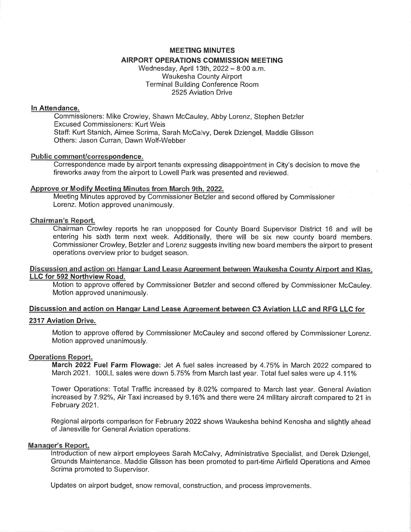### MEETING MINUTES

### AIRPORT OPERATIONS COMMISSION MEETING

Wednesday, April 13th, 2022 - 8:00 a.m. Waukesha County Airport Terminal Building Conference Room 2525 Aviation Drive

## ln Attendance.

Commissioners: Mike Crowley, Shawn McCauley, Abby Lorenz, Stephen Betzler Excused Commissioners: Kurt Weis Staff: Kurt Stanich, Aimee Scrima, Sarah McCalvy, Derek Dziengel, Maddie Glisson Others: Jason Curran, Dawn Wolf-Webber

#### Public comment/correspondence.

Correspondence made by airport tenants expressing disappointment in City's decision to move the fireworks away from the airport to Lowell Park was presented and reviewed.

### Approve or Modifv Meetinq Minutes from March 9th. 2022.

Meeting Minutes approved by Commissioner Betzler and second offered by Commissioner Lorenz. Motion approved unanimously.

### Chairman's Report.

Chairman Crowley reports he ran unopposed for County Board Supervisor District 16 and will be entering his sixth term next week. Additionally, there will be six new county board members. Commissioner Crowley, Betzler and Lorenz suggests inviting new board members the airport to present operations overview prior to budget season.

## Discussion and action on Hangar Land Lease Aqreement between Waukesha Countv Airport and Kias. LLC for 592 Northview Road.

Motion to approve offered by Commissioner Betzler and second offered by Commissioner McOauley. Motion approved unanimously.

# Discussion and action on Hangar Land Lease Agreement between C3 Aviation LLC and RFG LLC for

### 2317 Aviation Drive.

Motion to approve offered by Commissioner McCauley and second offered by Commissioner Lorenz. Motion approved unanimously,

#### Operations Report.

March 2022 Fuel Farm Flowage: Jet A fuel sales increased by 4.75% in March 2022 compared to March 2021. 100LL sales were down 5.75% from March last year. Total fuel sales were up 4.11%

Tower Operations: Total Traffic increased by 8.02% compared to March last year. General Aviation increased by 7.92%, Air Taxi increased by 9.16% and there were 24 military aircraft compared to 21 in February 2021.

Regional airports comparison for February 2022 shows Waukesha behind Kenosha and slightly ahead of Janesville for General Aviation operations.

### Manager's Report.

lntroduction of new airport employees Sarah McCalvy, Administrative Specialist, and Derek Dziengel, Grounds Maintenance. Maddie Glisson has been promoted to part-time Airfield Operations and Aimee Scrima promoted to Supervisor.

Updates on airport budget, snow removal, construction, and process improvements.